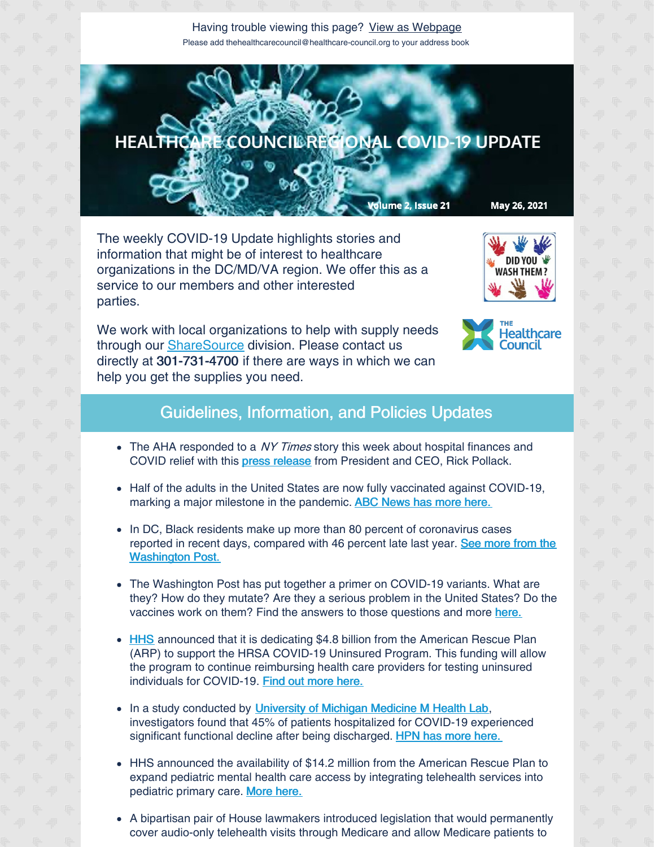Having trouble viewing this page? View as [Webpage](http://campaign.r20.constantcontact.com/render?ca=81cfc1da-b72e-4b57-8217-65b57fe17a98&preview=true&m=1135298390468&id=preview) Please add thehealthcarecouncil@healthcare-council.org to your address book



The weekly COVID-19 Update highlights stories and information that might be of interest to healthcare organizations in the DC/MD/VA region. We offer this as a service to our members and other interested parties.



We work with local organizations to help with supply needs through our **[ShareSource](https://www.share-source.org/)** division. Please contact us directly at 301-731-4700 if there are ways in which we can help you get the supplies you need.



## Guidelines, Information, and Policies Updates

- The AHA responded to a NY Times story this week about hospital finances and COVID relief with this press [release](https://www.aha.org/press-releases/2021-05-22-aha-statement-new-york-times-article-hospital-finances-and-covid-relief) from President and CEO, Rick Pollack.
- Half of the adults in the United States are now fully vaccinated against COVID-19, marking a major milestone in the pandemic. ABC [News](https://abcnews.go.com/Health/half-us-adults-now-fullyvaccinated-covid-19/story?id=77860393) has more here.
- In DC, Black residents make up more than 80 percent of coronavirus cases reported in recent days, compared with 46 percent late last year. See more from the **[Washington](https://www.washingtonpost.com/local/dc-coronavirus-blacks-vaccine/2021/05/25/1b6208da-bd6d-11eb-9c90-731aff7d9a0d_story.html) Post.**
- The Washington Post has put together a primer on COVID-19 variants. What are they? How do they mutate? Are they a serious problem in the United States? Do the vaccines work on them? Find the answers to those questions and more [here.](https://www.washingtonpost.com/health/interactive/2021/01/25/covid-variants/?itid=hp_pandemic test)
- [HHS](https://www.hhs.gov/) announced that it is dedicating \$4.8 billion from the American Rescue Plan (ARP) to support the HRSA COVID-19 Uninsured Program. This funding will allow the program to continue reimbursing health care providers for testing uninsured individuals for COVID-19. Find out [more](https://content.govdelivery.com/accounts/USCMSMEDICAID/bulletins/2de44f9) here.
- In a study conducted by [University](https://labblog.uofmhealth.org/) of Michigan Medicine M Health Lab, investigators found that 45% of patients hospitalized for COVID-19 experienced significant functional decline after being discharged. HPN has more [here.](https://www.hpnonline.com/surgical-critical-care/article/21224200/almost-half-of-covid19-patients-left-hospitals-in-worse-physical-condition?utm_source=HPN+Daily+Newsletter&utm_medium=email&utm_campaign=CPS210524100&o_eid=8887J6354667A2S&rdx.ident=%5Bobject+Object%5D&oly_enc_id=8887J6354667A2S)
- HHS announced the availability of \$14.2 million from the American Rescue Plan to expand pediatric mental health care access by integrating telehealth services into pediatric primary care. [More](https://www.hhs.gov/about/news/2021/05/20/hhs-announces-142-million-american-rescue-plan-expand-pediatric-mental-health-care-access.html?utm_campaign=enews20210520&utm_medium=email&utm_source=govdelivery) here.
- A bipartisan pair of House lawmakers introduced legislation that would permanently cover audio-only telehealth visits through Medicare and allow Medicare patients to